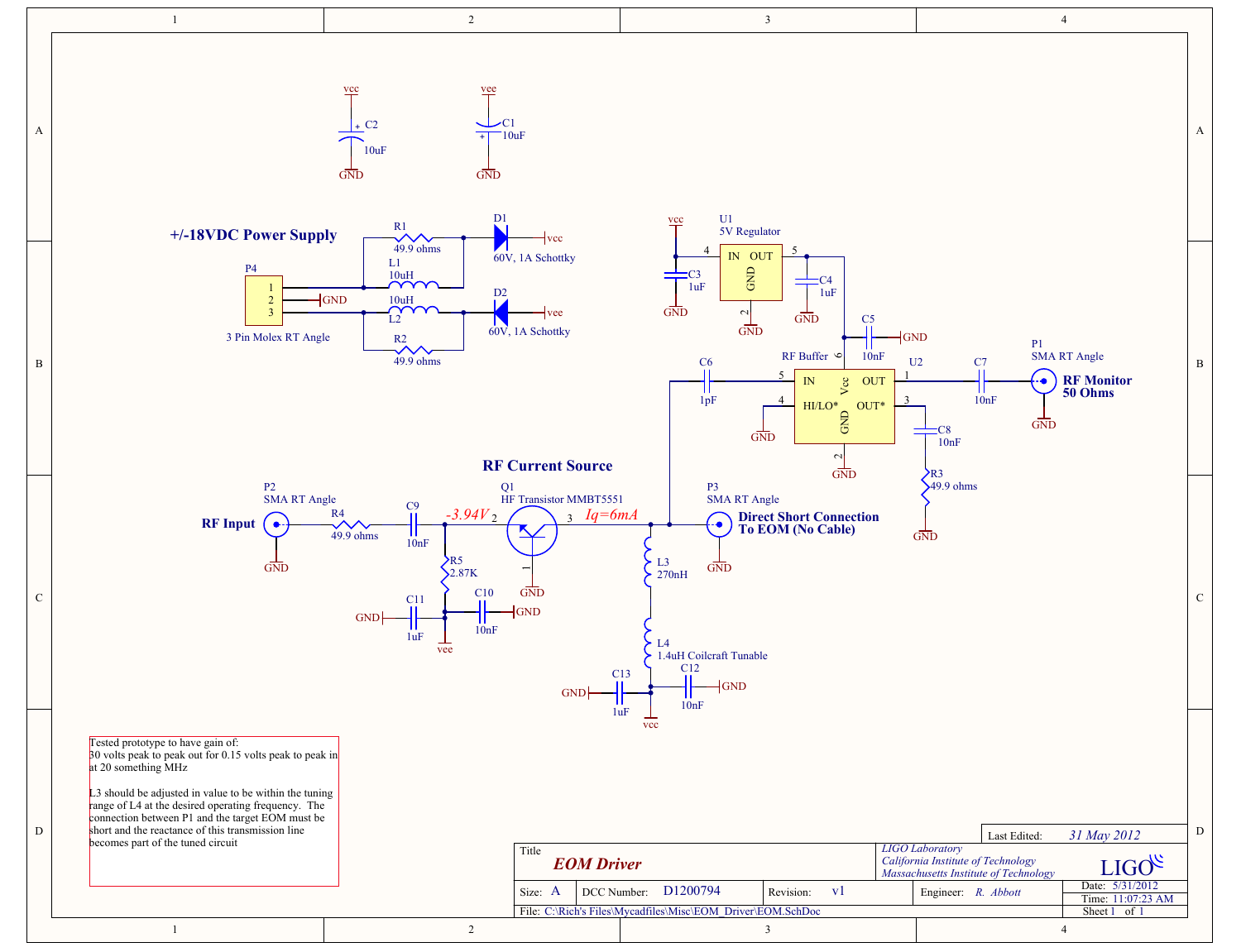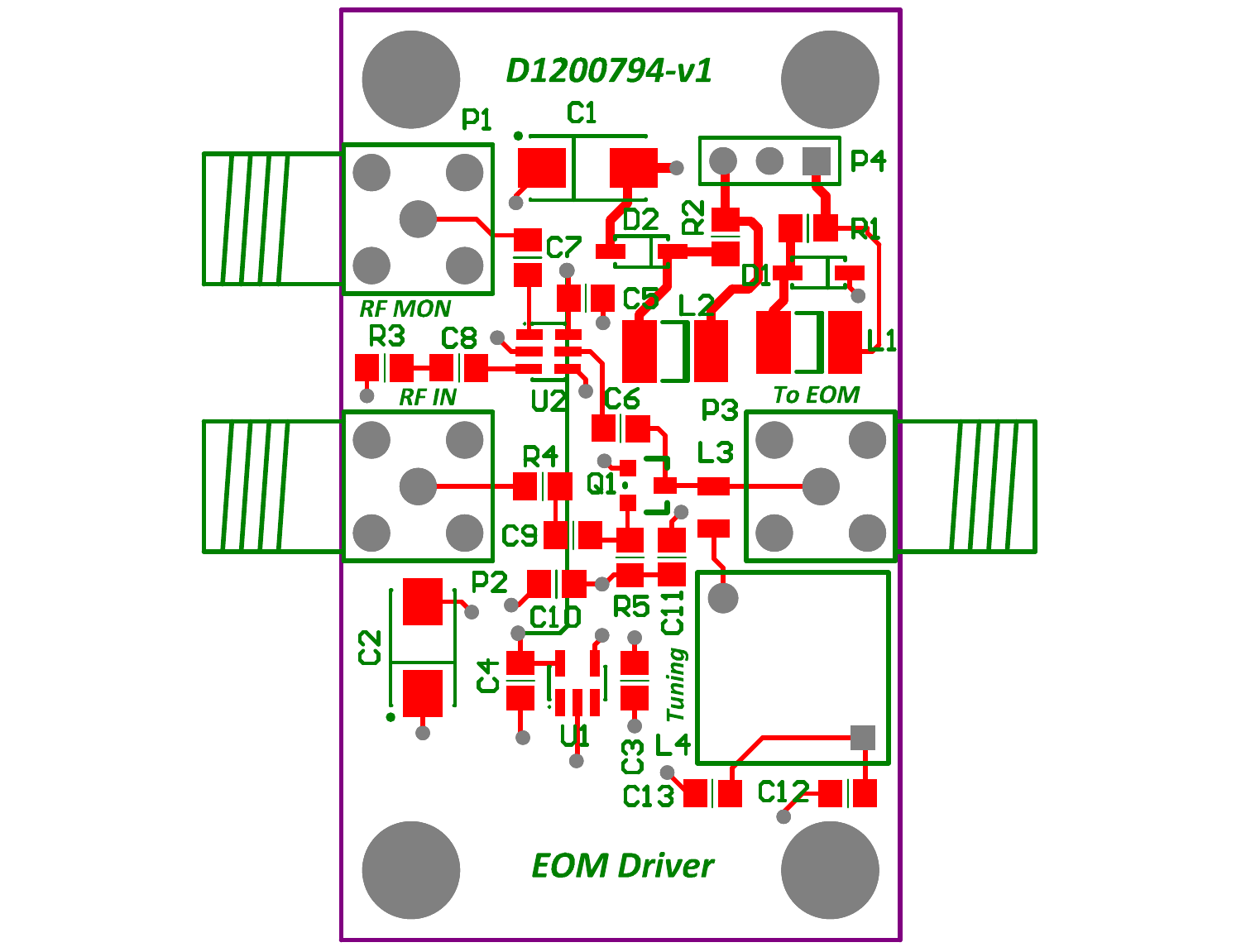